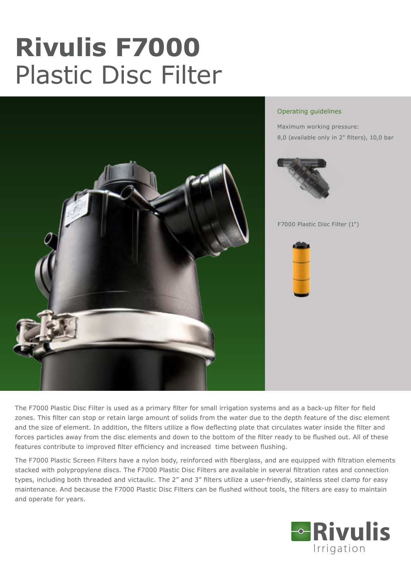# **Rivulis F7000** Plastic Disc Filter



#### Operating guidelines

Maximum working pressure: 8,0 (available only in 2" filters), 10,0 bar



F7000 Plastic Disc Filter (1")



The F7000 Plastic Disc Filter is used as a primary filter for small irrigation systems and as a back-up filter for field zones. This filter can stop or retain large amount of solids from the water due to the depth feature of the disc element and the size of element. In addition, the filters utilize a flow deflecting plate that circulates water inside the filter and forces particles away from the disc elements and down to the bottom of the filter ready to be flushed out. All of these features contribute to improved filter efficiency and increased time between flushing.

The F7000 Plastic Screen Filters have a nylon body, reinforced with fiberglass, and are equipped with filtration elements stacked with polypropylene discs. The F7000 Plastic Disc Filters are available in several filtration rates and connection types, including both threaded and victaulic. The 2" and 3" filters utilize a user-friendly, stainless steel clamp for easy maintenance. And because the F7000 Plastic Disc Filters can be flushed without tools, the filters are easy to maintain and operate for years.